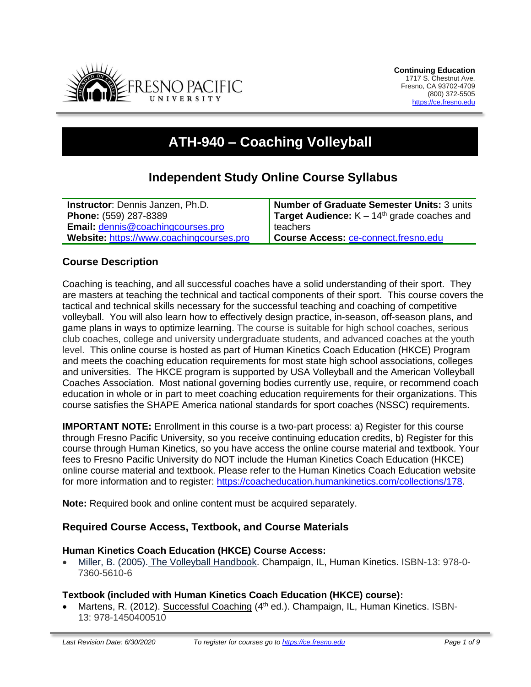

# **ATH-940 – Coaching Volleyball**

# **Independent Study Online Course Syllabus**

| <b>Instructor:</b> Dennis Janzen, Ph.D.  | Number of Graduate Semester Units: 3 units    |
|------------------------------------------|-----------------------------------------------|
| <b>Phone: (559) 287-8389</b>             | Target Audience: $K - 14th$ grade coaches and |
| Email: dennis@coachingcourses.pro        | l teachers                                    |
| Website: https://www.coachingcourses.pro | Course Access: ce-connect.fresno.edu          |

## **Course Description**

Coaching is teaching, and all successful coaches have a solid understanding of their sport. They are masters at teaching the technical and tactical components of their sport. This course covers the tactical and technical skills necessary for the successful teaching and coaching of competitive volleyball. You will also learn how to effectively design practice, in-season, off-season plans, and game plans in ways to optimize learning. The course is suitable for high school coaches, serious club coaches, college and university undergraduate students, and advanced coaches at the youth level. This online course is hosted as part of Human Kinetics Coach Education (HKCE) Program and meets the coaching education requirements for most state high school associations, colleges and universities. The HKCE program is supported by USA Volleyball and the American Volleyball Coaches Association. Most national governing bodies currently use, require, or recommend coach education in whole or in part to meet coaching education requirements for their organizations. This course satisfies the SHAPE America national standards for sport coaches (NSSC) requirements.

**IMPORTANT NOTE:** Enrollment in this course is a two-part process: a) Register for this course through Fresno Pacific University, so you receive continuing education credits, b) Register for this course through Human Kinetics, so you have access the online course material and textbook. Your fees to Fresno Pacific University do NOT include the Human Kinetics Coach Education (HKCE) online course material and textbook. Please refer to the Human Kinetics Coach Education website for more information and to register: [https://coacheducation.humankinetics.com/collections/178.](https://coacheducation.humankinetics.com/collections/178)

**Note:** Required book and online content must be acquired separately.

#### **Required Course Access, Textbook, and Course Materials**

#### **Human Kinetics Coach Education (HKCE) Course Access:**

• Miller, B. (2005). The Volleyball Handbook. Champaign, IL, Human Kinetics. ISBN-13: 978-0- 7360-5610-6

#### **Textbook (included with Human Kinetics Coach Education (HKCE) course):**

• Martens, R. (2012). Successful Coaching (4<sup>th</sup> ed.). Champaign, IL, Human Kinetics. ISBN-13: 978-1450400510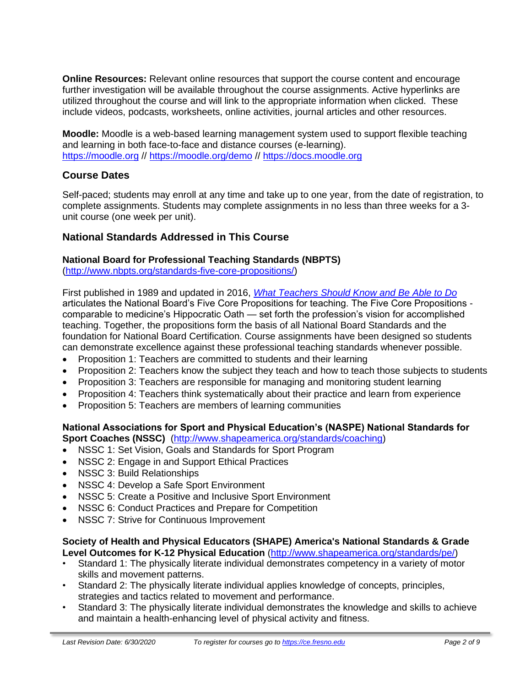**Online Resources:** Relevant online resources that support the course content and encourage further investigation will be available throughout the course assignments. Active hyperlinks are utilized throughout the course and will link to the appropriate information when clicked. These include videos, podcasts, worksheets, online activities, journal articles and other resources.

**Moodle:** Moodle is a web-based learning management system used to support flexible teaching and learning in both face-to-face and distance courses (e-learning). [https://moodle.org](https://moodle.org/) //<https://moodle.org/demo> // [https://docs.moodle.org](https://docs.moodle.org/)

# **Course Dates**

Self-paced; students may enroll at any time and take up to one year, from the date of registration, to complete assignments. Students may complete assignments in no less than three weeks for a 3 unit course (one week per unit).

# **National Standards Addressed in This Course**

## **National Board for Professional Teaching Standards (NBPTS)**

[\(http://www.nbpts.org/standards-five-core-propositions/\)](http://www.nbpts.org/standards-five-core-propositions/)

First published in 1989 and updated in 2016, *[What Teachers Should Know and Be Able to Do](http://www.accomplishedteacher.org/)* articulates the National Board's Five Core Propositions for teaching. The Five Core Propositions comparable to medicine's Hippocratic Oath — set forth the profession's vision for accomplished teaching. Together, the propositions form the basis of all National Board Standards and the foundation for National Board Certification. Course assignments have been designed so students can demonstrate excellence against these professional teaching standards whenever possible.

- Proposition 1: Teachers are committed to students and their learning
- Proposition 2: Teachers know the subject they teach and how to teach those subjects to students
- Proposition 3: Teachers are responsible for managing and monitoring student learning
- Proposition 4: Teachers think systematically about their practice and learn from experience
- Proposition 5: Teachers are members of learning communities

#### **National Associations for Sport and Physical Education's (NASPE) National Standards for Sport Coaches (NSSC)** [\(http://www.shapeamerica.org/standards/coaching\)](http://www.shapeamerica.org/standards/coaching)

- NSSC 1: Set Vision, Goals and Standards for Sport Program
- NSSC 2: Engage in and Support Ethical Practices
- NSSC 3: Build Relationships
- NSSC 4: Develop a Safe Sport Environment
- NSSC 5: Create a Positive and Inclusive Sport Environment
- NSSC 6: Conduct Practices and Prepare for Competition
- NSSC 7: Strive for Continuous Improvement

#### **Society of Health and Physical Educators (SHAPE) America's National Standards & Grade Level Outcomes for K-12 Physical Education** [\(http://www.shapeamerica.org/standards/pe/\)](http://www.shapeamerica.org/standards/pe/)

- Standard 1: The physically literate individual demonstrates competency in a variety of motor skills and movement patterns.
- Standard 2: The physically literate individual applies knowledge of concepts, principles, strategies and tactics related to movement and performance.
- Standard 3: The physically literate individual demonstrates the knowledge and skills to achieve and maintain a health-enhancing level of physical activity and fitness.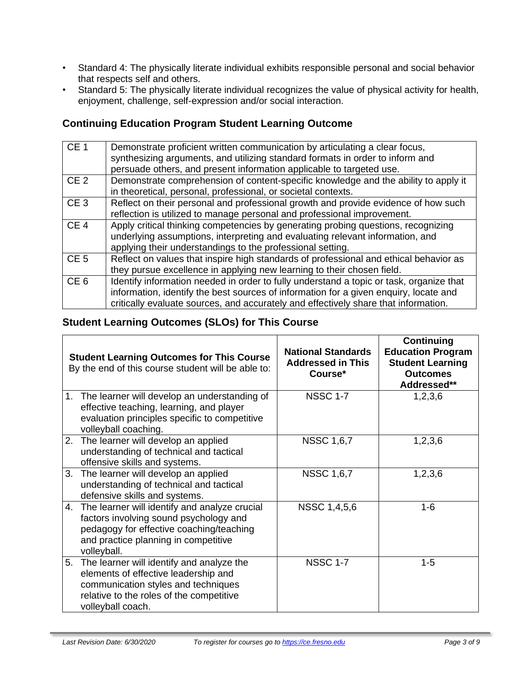- Standard 4: The physically literate individual exhibits responsible personal and social behavior that respects self and others.
- Standard 5: The physically literate individual recognizes the value of physical activity for health, enjoyment, challenge, self-expression and/or social interaction.

# **Continuing Education Program Student Learning Outcome**

| CE <sub>1</sub> | Demonstrate proficient written communication by articulating a clear focus,<br>synthesizing arguments, and utilizing standard formats in order to inform and<br>persuade others, and present information applicable to targeted use.                                    |
|-----------------|-------------------------------------------------------------------------------------------------------------------------------------------------------------------------------------------------------------------------------------------------------------------------|
| CE <sub>2</sub> | Demonstrate comprehension of content-specific knowledge and the ability to apply it<br>in theoretical, personal, professional, or societal contexts.                                                                                                                    |
| CE <sub>3</sub> | Reflect on their personal and professional growth and provide evidence of how such<br>reflection is utilized to manage personal and professional improvement.                                                                                                           |
| CE <sub>4</sub> | Apply critical thinking competencies by generating probing questions, recognizing<br>underlying assumptions, interpreting and evaluating relevant information, and<br>applying their understandings to the professional setting.                                        |
| CE <sub>5</sub> | Reflect on values that inspire high standards of professional and ethical behavior as<br>they pursue excellence in applying new learning to their chosen field.                                                                                                         |
| CE <sub>6</sub> | Identify information needed in order to fully understand a topic or task, organize that<br>information, identify the best sources of information for a given enquiry, locate and<br>critically evaluate sources, and accurately and effectively share that information. |

# **Student Learning Outcomes (SLOs) for This Course**

| <b>Student Learning Outcomes for This Course</b><br>By the end of this course student will be able to:                                                                                        | <b>National Standards</b><br><b>Addressed in This</b><br>Course* | Continuing<br><b>Education Program</b><br><b>Student Learning</b><br><b>Outcomes</b><br>Addressed** |
|-----------------------------------------------------------------------------------------------------------------------------------------------------------------------------------------------|------------------------------------------------------------------|-----------------------------------------------------------------------------------------------------|
| 1. The learner will develop an understanding of<br>effective teaching, learning, and player<br>evaluation principles specific to competitive<br>volleyball coaching.                          | <b>NSSC 1-7</b>                                                  | 1,2,3,6                                                                                             |
| 2. The learner will develop an applied<br>understanding of technical and tactical<br>offensive skills and systems.                                                                            | <b>NSSC 1,6,7</b>                                                | 1,2,3,6                                                                                             |
| 3. The learner will develop an applied<br>understanding of technical and tactical<br>defensive skills and systems.                                                                            | <b>NSSC 1,6,7</b>                                                | 1,2,3,6                                                                                             |
| 4. The learner will identify and analyze crucial<br>factors involving sound psychology and<br>pedagogy for effective coaching/teaching<br>and practice planning in competitive<br>volleyball. | <b>NSSC 1,4,5,6</b>                                              | $1 - 6$                                                                                             |
| 5. The learner will identify and analyze the<br>elements of effective leadership and<br>communication styles and techniques<br>relative to the roles of the competitive<br>volleyball coach.  | <b>NSSC 1-7</b>                                                  | $1 - 5$                                                                                             |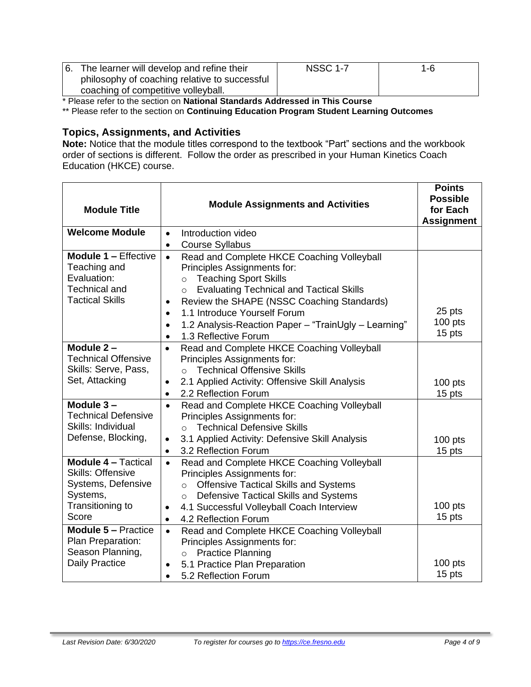| 6. The learner will develop and refine their  | <b>NSSC 1-7</b> | 1-6 |
|-----------------------------------------------|-----------------|-----|
| philosophy of coaching relative to successful |                 |     |
| coaching of competitive volleyball.           |                 |     |

\* Please refer to the section on **National Standards Addressed in This Course**

\*\* Please refer to the section on **Continuing Education Program Student Learning Outcomes**

# **Topics, Assignments, and Activities**

**Note:** Notice that the module titles correspond to the textbook "Part" sections and the workbook order of sections is different. Follow the order as prescribed in your Human Kinetics Coach Education (HKCE) course.

| <b>Module Title</b>                                                                                                   | <b>Module Assignments and Activities</b>                                                                                                                                                                                                                                                                                                                                                             |                               |
|-----------------------------------------------------------------------------------------------------------------------|------------------------------------------------------------------------------------------------------------------------------------------------------------------------------------------------------------------------------------------------------------------------------------------------------------------------------------------------------------------------------------------------------|-------------------------------|
| <b>Welcome Module</b>                                                                                                 | Introduction video<br>$\bullet$<br><b>Course Syllabus</b><br>$\bullet$                                                                                                                                                                                                                                                                                                                               |                               |
| <b>Module 1 - Effective</b><br>Teaching and<br>Evaluation:<br><b>Technical and</b><br><b>Tactical Skills</b>          | Read and Complete HKCE Coaching Volleyball<br>$\bullet$<br>Principles Assignments for:<br><b>Teaching Sport Skills</b><br>$\circ$<br><b>Evaluating Technical and Tactical Skills</b><br>$\circ$<br>Review the SHAPE (NSSC Coaching Standards)<br>1.1 Introduce Yourself Forum<br>$\bullet$<br>1.2 Analysis-Reaction Paper - "TrainUgly - Learning"<br>$\bullet$<br>1.3 Reflective Forum<br>$\bullet$ | 25 pts<br>$100$ pts<br>15 pts |
| Module $2 -$<br><b>Technical Offensive</b><br>Skills: Serve, Pass,<br>Set, Attacking                                  | Read and Complete HKCE Coaching Volleyball<br>Principles Assignments for:<br><b>Technical Offensive Skills</b><br>$\circ$<br>2.1 Applied Activity: Offensive Skill Analysis<br>$\bullet$<br>2.2 Reflection Forum<br>$\bullet$                                                                                                                                                                        | $100$ pts<br>15 pts           |
| Module 3-<br><b>Technical Defensive</b><br>Skills: Individual<br>Defense, Blocking,                                   | Read and Complete HKCE Coaching Volleyball<br>$\bullet$<br>Principles Assignments for:<br><b>Technical Defensive Skills</b><br>$\Omega$<br>3.1 Applied Activity: Defensive Skill Analysis<br>$\bullet$<br>3.2 Reflection Forum<br>٠                                                                                                                                                                  | $100$ pts<br>15 pts           |
| <b>Module 4 - Tactical</b><br><b>Skills: Offensive</b><br>Systems, Defensive<br>Systems,<br>Transitioning to<br>Score | Read and Complete HKCE Coaching Volleyball<br>$\bullet$<br>Principles Assignments for:<br><b>Offensive Tactical Skills and Systems</b><br>$\circ$<br>Defensive Tactical Skills and Systems<br>$\circ$<br>4.1 Successful Volleyball Coach Interview<br>$\bullet$<br>4.2 Reflection Forum<br>$\bullet$                                                                                                 | $100$ pts<br>15 pts           |
| <b>Module 5 - Practice</b><br>Plan Preparation:<br>Season Planning,<br><b>Daily Practice</b>                          | Read and Complete HKCE Coaching Volleyball<br>$\bullet$<br>Principles Assignments for:<br><b>Practice Planning</b><br>$\circ$<br>5.1 Practice Plan Preparation<br>5.2 Reflection Forum<br>$\bullet$                                                                                                                                                                                                  | $100$ pts<br>15 pts           |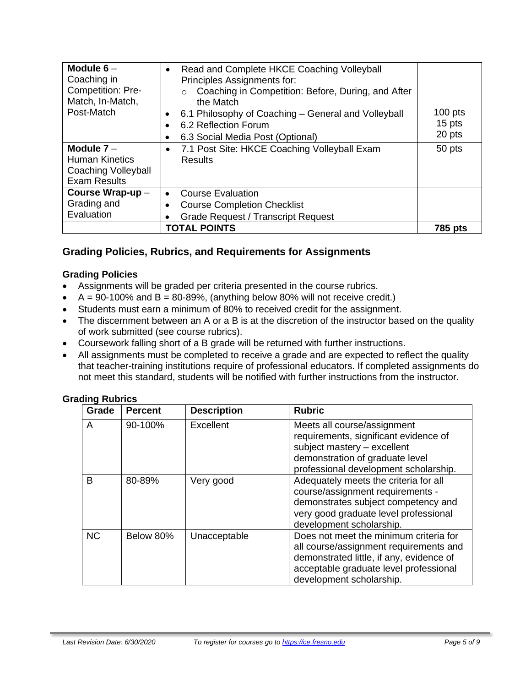| Module $6-$<br>Coaching in<br>Competition: Pre-<br>Match, In-Match,<br>Post-Match   | Read and Complete HKCE Coaching Volleyball<br>$\bullet$<br>Principles Assignments for:<br>Coaching in Competition: Before, During, and After<br>$\circ$<br>the Match<br>6.1 Philosophy of Coaching – General and Volleyball<br>6.2 Reflection Forum<br>6.3 Social Media Post (Optional) | $100$ pts<br>15 pts<br>20 pts |
|-------------------------------------------------------------------------------------|-----------------------------------------------------------------------------------------------------------------------------------------------------------------------------------------------------------------------------------------------------------------------------------------|-------------------------------|
| Module $7 -$<br><b>Human Kinetics</b><br>Coaching Volleyball<br><b>Exam Results</b> | 7.1 Post Site: HKCE Coaching Volleyball Exam<br>Results                                                                                                                                                                                                                                 | 50 pts                        |
| Course Wrap-up -<br>Grading and<br>Evaluation                                       | <b>Course Evaluation</b><br>٠<br><b>Course Completion Checklist</b><br><b>Grade Request / Transcript Request</b>                                                                                                                                                                        |                               |
|                                                                                     | <b>TOTAL POINTS</b>                                                                                                                                                                                                                                                                     | 785 pts                       |

# **Grading Policies, Rubrics, and Requirements for Assignments**

#### **Grading Policies**

- Assignments will be graded per criteria presented in the course rubrics.
- $A = 90-100\%$  and  $B = 80-89\%$ , (anything below 80% will not receive credit.)
- Students must earn a minimum of 80% to received credit for the assignment.
- The discernment between an A or a B is at the discretion of the instructor based on the quality of work submitted (see course rubrics).
- Coursework falling short of a B grade will be returned with further instructions.
- All assignments must be completed to receive a grade and are expected to reflect the quality that teacher-training institutions require of professional educators. If completed assignments do not meet this standard, students will be notified with further instructions from the instructor.

| Grade     | <b>Percent</b> | <b>Description</b> | <b>Rubric</b>                                                                                                                                                                                      |
|-----------|----------------|--------------------|----------------------------------------------------------------------------------------------------------------------------------------------------------------------------------------------------|
| A         | 90-100%        | Excellent          | Meets all course/assignment<br>requirements, significant evidence of<br>subject mastery - excellent<br>demonstration of graduate level<br>professional development scholarship.                    |
| B         | 80-89%         | Very good          | Adequately meets the criteria for all<br>course/assignment requirements -<br>demonstrates subject competency and<br>very good graduate level professional<br>development scholarship.              |
| <b>NC</b> | Below 80%      | Unacceptable       | Does not meet the minimum criteria for<br>all course/assignment requirements and<br>demonstrated little, if any, evidence of<br>acceptable graduate level professional<br>development scholarship. |

#### **Grading Rubrics**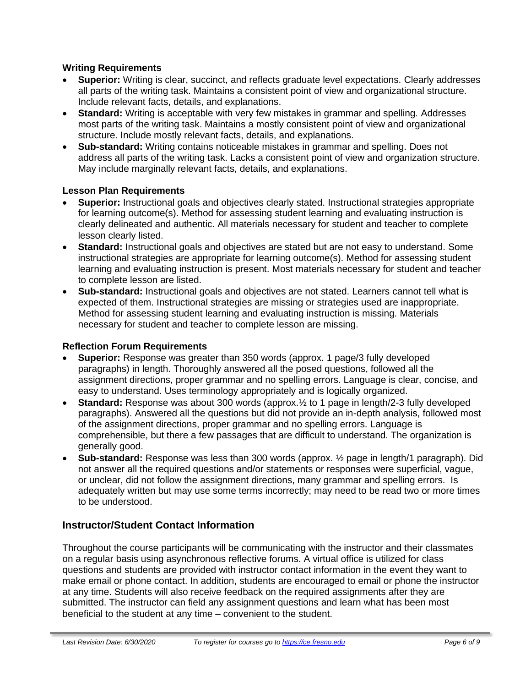#### **Writing Requirements**

- **Superior:** Writing is clear, succinct, and reflects graduate level expectations. Clearly addresses all parts of the writing task. Maintains a consistent point of view and organizational structure. Include relevant facts, details, and explanations.
- **Standard:** Writing is acceptable with very few mistakes in grammar and spelling. Addresses most parts of the writing task. Maintains a mostly consistent point of view and organizational structure. Include mostly relevant facts, details, and explanations.
- **Sub-standard:** Writing contains noticeable mistakes in grammar and spelling. Does not address all parts of the writing task. Lacks a consistent point of view and organization structure. May include marginally relevant facts, details, and explanations.

#### **Lesson Plan Requirements**

- **Superior:** Instructional goals and objectives clearly stated. Instructional strategies appropriate for learning outcome(s). Method for assessing student learning and evaluating instruction is clearly delineated and authentic. All materials necessary for student and teacher to complete lesson clearly listed.
- **Standard:** Instructional goals and objectives are stated but are not easy to understand. Some instructional strategies are appropriate for learning outcome(s). Method for assessing student learning and evaluating instruction is present. Most materials necessary for student and teacher to complete lesson are listed.
- **Sub-standard:** Instructional goals and objectives are not stated. Learners cannot tell what is expected of them. Instructional strategies are missing or strategies used are inappropriate. Method for assessing student learning and evaluating instruction is missing. Materials necessary for student and teacher to complete lesson are missing.

#### **Reflection Forum Requirements**

- **Superior:** Response was greater than 350 words (approx. 1 page/3 fully developed paragraphs) in length. Thoroughly answered all the posed questions, followed all the assignment directions, proper grammar and no spelling errors. Language is clear, concise, and easy to understand. Uses terminology appropriately and is logically organized.
- **Standard:** Response was about 300 words (approx.½ to 1 page in length/2-3 fully developed paragraphs). Answered all the questions but did not provide an in-depth analysis, followed most of the assignment directions, proper grammar and no spelling errors. Language is comprehensible, but there a few passages that are difficult to understand. The organization is generally good.
- **Sub-standard:** Response was less than 300 words (approx. ½ page in length/1 paragraph). Did not answer all the required questions and/or statements or responses were superficial, vague, or unclear, did not follow the assignment directions, many grammar and spelling errors. Is adequately written but may use some terms incorrectly; may need to be read two or more times to be understood.

# **Instructor/Student Contact Information**

Throughout the course participants will be communicating with the instructor and their classmates on a regular basis using asynchronous reflective forums. A virtual office is utilized for class questions and students are provided with instructor contact information in the event they want to make email or phone contact. In addition, students are encouraged to email or phone the instructor at any time. Students will also receive feedback on the required assignments after they are submitted. The instructor can field any assignment questions and learn what has been most beneficial to the student at any time – convenient to the student.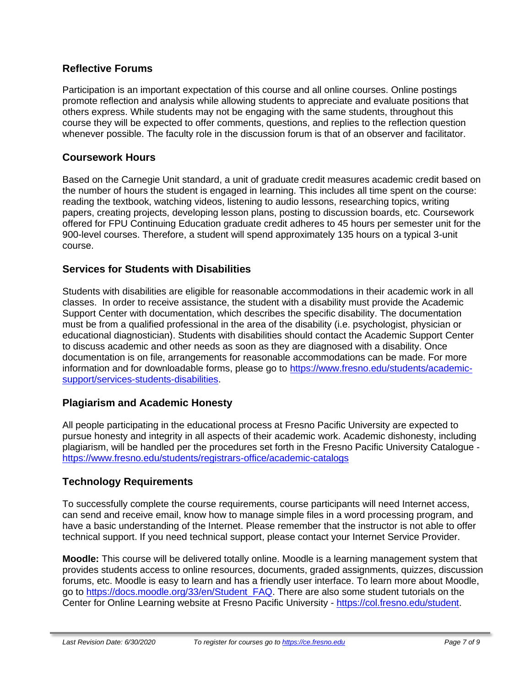# **Reflective Forums**

Participation is an important expectation of this course and all online courses. Online postings promote reflection and analysis while allowing students to appreciate and evaluate positions that others express. While students may not be engaging with the same students, throughout this course they will be expected to offer comments, questions, and replies to the reflection question whenever possible. The faculty role in the discussion forum is that of an observer and facilitator.

# **Coursework Hours**

Based on the Carnegie Unit standard, a unit of graduate credit measures academic credit based on the number of hours the student is engaged in learning. This includes all time spent on the course: reading the textbook, watching videos, listening to audio lessons, researching topics, writing papers, creating projects, developing lesson plans, posting to discussion boards, etc. Coursework offered for FPU Continuing Education graduate credit adheres to 45 hours per semester unit for the 900-level courses. Therefore, a student will spend approximately 135 hours on a typical 3-unit course.

# **Services for Students with Disabilities**

Students with disabilities are eligible for reasonable accommodations in their academic work in all classes. In order to receive assistance, the student with a disability must provide the Academic Support Center with documentation, which describes the specific disability. The documentation must be from a qualified professional in the area of the disability (i.e. psychologist, physician or educational diagnostician). Students with disabilities should contact the Academic Support Center to discuss academic and other needs as soon as they are diagnosed with a disability. Once documentation is on file, arrangements for reasonable accommodations can be made. For more information and for downloadable forms, please go to [https://www.fresno.edu/students/academic](https://www.fresno.edu/students/academic-support/services-students-disabilities)[support/services-students-disabilities.](https://www.fresno.edu/students/academic-support/services-students-disabilities)

# **Plagiarism and Academic Honesty**

All people participating in the educational process at Fresno Pacific University are expected to pursue honesty and integrity in all aspects of their academic work. Academic dishonesty, including plagiarism, will be handled per the procedures set forth in the Fresno Pacific University Catalogue <https://www.fresno.edu/students/registrars-office/academic-catalogs>

# **Technology Requirements**

To successfully complete the course requirements, course participants will need Internet access, can send and receive email, know how to manage simple files in a word processing program, and have a basic understanding of the Internet. Please remember that the instructor is not able to offer technical support. If you need technical support, please contact your Internet Service Provider.

**Moodle:** This course will be delivered totally online. Moodle is a learning management system that provides students access to online resources, documents, graded assignments, quizzes, discussion forums, etc. Moodle is easy to learn and has a friendly user interface. To learn more about Moodle, go to [https://docs.moodle.org/33/en/Student\\_FAQ.](https://docs.moodle.org/33/en/Student_FAQ) There are also some student tutorials on the Center for Online Learning website at Fresno Pacific University - [https://col.fresno.edu/student.](https://col.fresno.edu/student)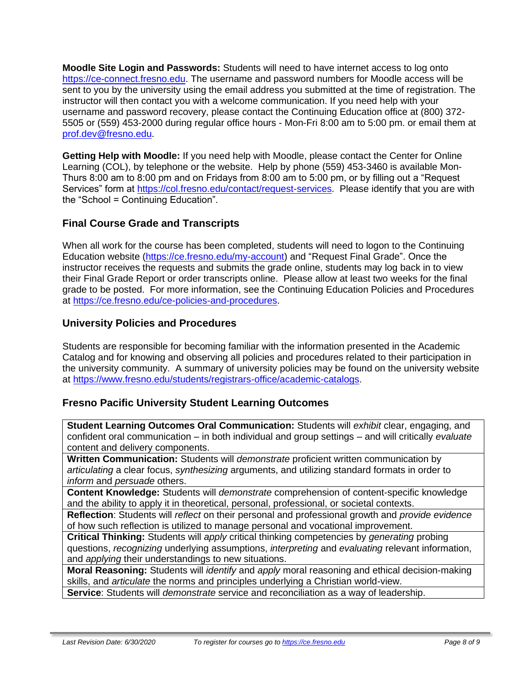**Moodle Site Login and Passwords:** Students will need to have internet access to log onto [https://ce-connect.fresno.edu.](https://ce-connect.fresno.edu/) The username and password numbers for Moodle access will be sent to you by the university using the email address you submitted at the time of registration. The instructor will then contact you with a welcome communication. If you need help with your username and password recovery, please contact the Continuing Education office at (800) 372- 5505 or (559) 453-2000 during regular office hours - Mon-Fri 8:00 am to 5:00 pm. or email them at [prof.dev@fresno.edu.](mailto:prof.dev@fresno.edu)

**Getting Help with Moodle:** If you need help with Moodle, please contact the Center for Online Learning (COL), by telephone or the website. Help by phone (559) 453-3460 is available Mon-Thurs 8:00 am to 8:00 pm and on Fridays from 8:00 am to 5:00 pm, or by filling out a "Request Services" form at [https://col.fresno.edu/contact/request-services.](https://col.fresno.edu/contact/request-services) Please identify that you are with the "School = Continuing Education".

# **Final Course Grade and Transcripts**

When all work for the course has been completed, students will need to logon to the Continuing Education website [\(https://ce.fresno.edu/my-account\)](https://ce.fresno.edu/my-account) and "Request Final Grade". Once the instructor receives the requests and submits the grade online, students may log back in to view their Final Grade Report or order transcripts online. Please allow at least two weeks for the final grade to be posted. For more information, see the Continuing Education Policies and Procedures at [https://ce.fresno.edu/ce-policies-and-procedures.](https://ce.fresno.edu/ce-policies-and-procedures)

# **University Policies and Procedures**

Students are responsible for becoming familiar with the information presented in the Academic Catalog and for knowing and observing all policies and procedures related to their participation in the university community. A summary of university policies may be found on the university website at [https://www.fresno.edu/students/registrars-office/academic-catalogs.](https://www.fresno.edu/students/registrars-office/academic-catalogs)

# **Fresno Pacific University Student Learning Outcomes**

**Student Learning Outcomes Oral Communication:** Students will *exhibit* clear, engaging, and confident oral communication – in both individual and group settings – and will critically *evaluate*  content and delivery components.

**Written Communication:** Students will *demonstrate* proficient written communication by *articulating* a clear focus, *synthesizing* arguments, and utilizing standard formats in order to *inform* and *persuade* others.

**Content Knowledge:** Students will *demonstrate* comprehension of content-specific knowledge and the ability to apply it in theoretical, personal, professional, or societal contexts.

**Reflection**: Students will *reflect* on their personal and professional growth and *provide evidence*  of how such reflection is utilized to manage personal and vocational improvement.

**Critical Thinking:** Students will *apply* critical thinking competencies by *generating* probing questions, *recognizing* underlying assumptions, *interpreting* and *evaluating* relevant information, and *applying* their understandings to new situations.

**Moral Reasoning:** Students will *identify* and *apply* moral reasoning and ethical decision-making skills, and *articulate* the norms and principles underlying a Christian world-view.

**Service**: Students will *demonstrate* service and reconciliation as a way of leadership.